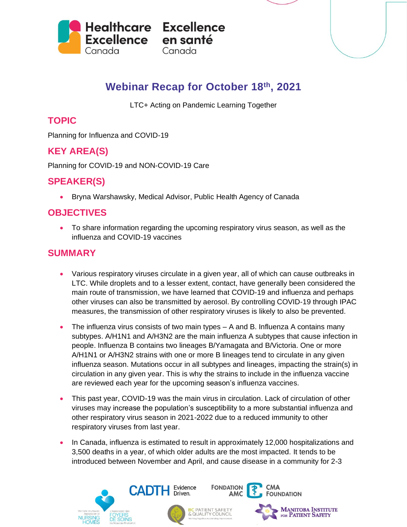

# **Webinar Recap for October 18 th, 2021**

LTC+ Acting on Pandemic Learning Together

## **TOPIC**

Planning for Influenza and COVID-19

## **KEY AREA(S)**

Planning for COVID-19 and NON-COVID-19 Care

#### **SPEAKER(S)**

• Bryna Warshawsky, Medical Advisor, Public Health Agency of Canada

### **OBJECTIVES**

• To share information regarding the upcoming respiratory virus season, as well as the influenza and COVID-19 vaccines

### **SUMMARY**

- Various respiratory viruses circulate in a given year, all of which can cause outbreaks in LTC. While droplets and to a lesser extent, contact, have generally been considered the main route of transmission, we have learned that COVID-19 and influenza and perhaps other viruses can also be transmitted by aerosol. By controlling COVID-19 through IPAC measures, the transmission of other respiratory viruses is likely to also be prevented.
- The influenza virus consists of two main types A and B. Influenza A contains many subtypes. A/H1N1 and A/H3N2 are the main influenza A subtypes that cause infection in people. Influenza B contains two lineages B/Yamagata and B/Victoria. One or more A/H1N1 or A/H3N2 strains with one or more B lineages tend to circulate in any given influenza season. Mutations occur in all subtypes and lineages, impacting the strain(s) in circulation in any given year. This is why the strains to include in the influenza vaccine are reviewed each year for the upcoming season's influenza vaccines.
- This past year, COVID-19 was the main virus in circulation. Lack of circulation of other viruses may increase the population's susceptibility to a more substantial influenza and other respiratory virus season in 2021-2022 due to a reduced immunity to other respiratory viruses from last year.
- In Canada, influenza is estimated to result in approximately 12,000 hospitalizations and 3,500 deaths in a year, of which older adults are the most impacted. It tends to be introduced between November and April, and cause disease in a community for 2-3

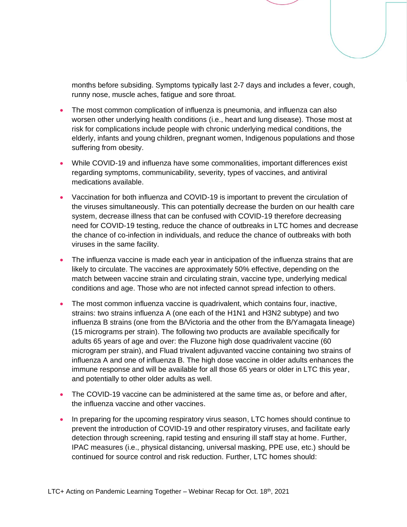months before subsiding. Symptoms typically last 2-7 days and includes a fever, cough, runny nose, muscle aches, fatigue and sore throat.

- The most common complication of influenza is pneumonia, and influenza can also worsen other underlying health conditions (i.e., heart and lung disease). Those most at risk for complications include people with chronic underlying medical conditions, the elderly, infants and young children, pregnant women, Indigenous populations and those suffering from obesity.
- While COVID-19 and influenza have some commonalities, important differences exist regarding symptoms, communicability, severity, types of vaccines, and antiviral medications available.
- Vaccination for both influenza and COVID-19 is important to prevent the circulation of the viruses simultaneously. This can potentially decrease the burden on our health care system, decrease illness that can be confused with COVID-19 therefore decreasing need for COVID-19 testing, reduce the chance of outbreaks in LTC homes and decrease the chance of co-infection in individuals, and reduce the chance of outbreaks with both viruses in the same facility.
- The influenza vaccine is made each year in anticipation of the influenza strains that are likely to circulate. The vaccines are approximately 50% effective, depending on the match between vaccine strain and circulating strain, vaccine type, underlying medical conditions and age. Those who are not infected cannot spread infection to others.
- The most common influenza vaccine is quadrivalent, which contains four, inactive, strains: two strains influenza A (one each of the H1N1 and H3N2 subtype) and two influenza B strains (one from the B/Victoria and the other from the B/Yamagata lineage) (15 micrograms per strain). The following two products are available specifically for adults 65 years of age and over: the Fluzone high dose quadrivalent vaccine (60 microgram per strain), and Fluad trivalent adjuvanted vaccine containing two strains of influenza A and one of influenza B. The high dose vaccine in older adults enhances the immune response and will be available for all those 65 years or older in LTC this year, and potentially to other older adults as well.
- The COVID-19 vaccine can be administered at the same time as, or before and after, the influenza vaccine and other vaccines.
- In preparing for the upcoming respiratory virus season, LTC homes should continue to prevent the introduction of COVID-19 and other respiratory viruses, and facilitate early detection through screening, rapid testing and ensuring ill staff stay at home. Further, IPAC measures (i.e., physical distancing, universal masking, PPE use, etc.) should be continued for source control and risk reduction. Further, LTC homes should: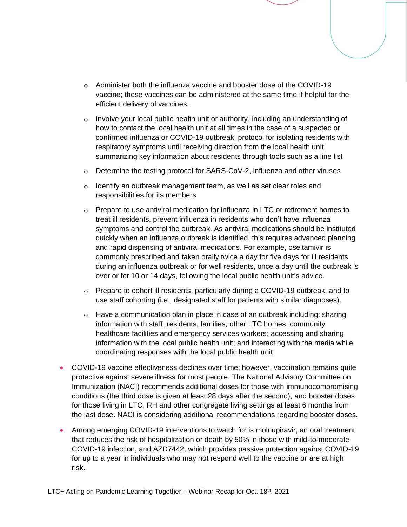- $\circ$  Administer both the influenza vaccine and booster dose of the COVID-19 vaccine; these vaccines can be administered at the same time if helpful for the efficient delivery of vaccines.
- $\circ$  Involve your local public health unit or authority, including an understanding of how to contact the local health unit at all times in the case of a suspected or confirmed influenza or COVID-19 outbreak, protocol for isolating residents with respiratory symptoms until receiving direction from the local health unit, summarizing key information about residents through tools such as a line list
- o Determine the testing protocol for SARS-CoV-2, influenza and other viruses
- $\circ$  Identify an outbreak management team, as well as set clear roles and responsibilities for its members
- $\circ$  Prepare to use antiviral medication for influenza in LTC or retirement homes to treat ill residents, prevent influenza in residents who don't have influenza symptoms and control the outbreak. As antiviral medications should be instituted quickly when an influenza outbreak is identified, this requires advanced planning and rapid dispensing of antiviral medications. For example, oseltamivir is commonly prescribed and taken orally twice a day for five days for ill residents during an influenza outbreak or for well residents, once a day until the outbreak is over or for 10 or 14 days, following the local public health unit's advice.
- $\circ$  Prepare to cohort ill residents, particularly during a COVID-19 outbreak, and to use staff cohorting (i.e., designated staff for patients with similar diagnoses).
- $\circ$  Have a communication plan in place in case of an outbreak including: sharing information with staff, residents, families, other LTC homes, community healthcare facilities and emergency services workers; accessing and sharing information with the local public health unit; and interacting with the media while coordinating responses with the local public health unit
- COVID-19 vaccine effectiveness declines over time; however, vaccination remains quite protective against severe illness for most people. The National Advisory Committee on Immunization (NACI) recommends additional doses for those with immunocompromising conditions (the third dose is given at least 28 days after the second), and booster doses for those living in LTC, RH and other congregate living settings at least 6 months from the last dose. NACI is considering additional recommendations regarding booster doses.
- Among emerging COVID-19 interventions to watch for is molnupiravir, an oral treatment that reduces the risk of hospitalization or death by 50% in those with mild-to-moderate COVID-19 infection, and AZD7442, which provides passive protection against COVID-19 for up to a year in individuals who may not respond well to the vaccine or are at high risk.